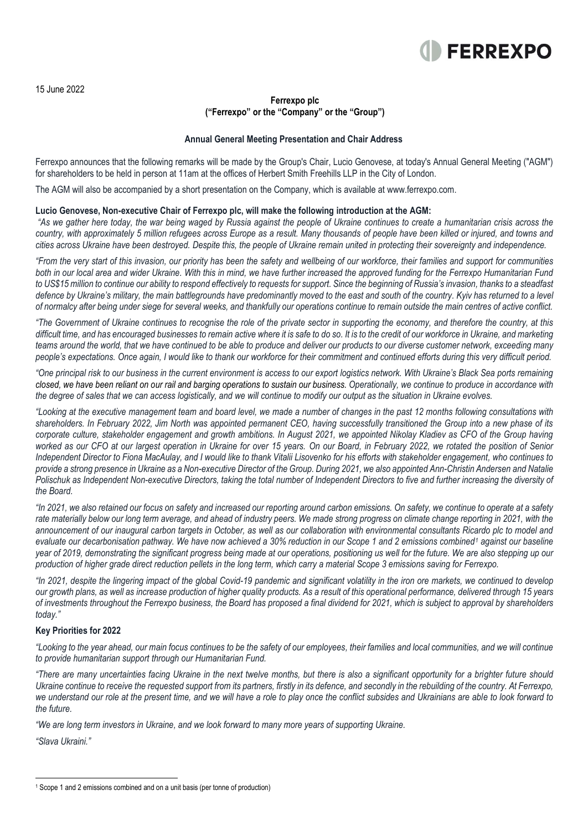

15 June 2022

# **Ferrexpo plc ("Ferrexpo" or the "Company" or the "Group")**

#### **Annual General Meeting Presentation and Chair Address**

Ferrexpo announces that the following remarks will be made by the Group's Chair, Lucio Genovese, at today's Annual General Meeting ("AGM") for shareholders to be held in person at 11am at the offices of Herbert Smith Freehills LLP in the City of London.

The AGM will also be accompanied by a short presentation on the Company, which is available at [www.ferrexpo.com.](http://www.ferrexpo.com/) 

#### **Lucio Genovese, Non-executive Chair of Ferrexpo plc, will make the following introduction at the AGM:**

*"As we gather here today, the war being waged by Russia against the people of Ukraine continues to create a humanitarian crisis across the country, with approximately 5 million refugees across Europe as a result. Many thousands of people have been killed or injured, and towns and*  cities across Ukraine have been destroyed. Despite this, the people of Ukraine remain united in protecting their sovereignty and independence.

*"From the very start of this invasion, our priority has been the safety and wellbeing of our workforce, their families and support for communities both in our local area and wider Ukraine. With this in mind, we have further increased the approved funding for the Ferrexpo Humanitarian Fund to US\$15 million to continue our ability to respond effectively to requests for support. Since the beginning of Russia's invasion, thanks to a steadfast defence by Ukraine's military, the main battlegrounds have predominantly moved to the east and south of the country. Kyiv has returned to a level of normalcy after being under siege for several weeks, and thankfully our operations continue to remain outside the main centres of active conflict.*

*"The Government of Ukraine continues to recognise the role of the private sector in supporting the economy, and therefore the country, at this difficult time, and has encouraged businesses to remain active where it is safe to do so. It is to the credit of our workforce in Ukraine, and marketing teams around the world, that we have continued to be able to produce and deliver our products to our diverse customer network, exceeding many people's expectations. Once again, I would like to thank our workforce for their commitment and continued efforts during this very difficult period.*

*"One principal risk to our business in the current environment is access to our export logistics network. With Ukraine's Black Sea ports remaining closed, we have been reliant on our rail and barging operations to sustain our business. Operationally, we continue to produce in accordance with the degree of sales that we can access logistically, and we will continue to modify our output as the situation in Ukraine evolves.*

*"Looking at the executive management team and board level, we made a number of changes in the past 12 months following consultations with shareholders. In February 2022, Jim North was appointed permanent CEO, having successfully transitioned the Group into a new phase of its corporate culture, stakeholder engagement and growth ambitions. In August 2021, we appointed Nikolay Kladiev as CFO of the Group having worked as our CFO at our largest operation in Ukraine for over 15 years. On our Board, in February 2022, we rotated the position of Senior Independent Director to Fiona MacAulay, and I would like to thank Vitalii Lisovenko for his efforts with stakeholder engagement, who continues to provide a strong presence in Ukraine as a Non-executive Director of the Group. During 2021, we also appointed Ann-Christin Andersen and Natalie Polischuk as Independent Non-executive Directors, taking the total number of Independent Directors to five and further increasing the diversity of the Board.*

*"In 2021, we also retained our focus on safety and increased our reporting around carbon emissions. On safety, we continue to operate at a safety*  rate materially below our long term average, and ahead of industry peers. We made strong progress on climate change reporting in 2021, with the *announcement of our inaugural carbon targets in October, as well as our collaboration with environmental consultants Ricardo plc to model and evaluate our decarbonisation pathway. We have now achieved a 30% reduction in our Scope 1 and 2 emissions combined<sup>1</sup> against our baseline year of 2019, demonstrating the significant progress being made at our operations, positioning us well for the future. We are also stepping up our production of higher grade direct reduction pellets in the long term, which carry a material Scope 3 emissions saving for Ferrexpo.*

*"In 2021, despite the lingering impact of the global Covid-19 pandemic and significant volatility in the iron ore markets, we continued to develop our growth plans, as well as increase production of higher quality products. As a result of this operational performance, delivered through 15 years of investments throughout the Ferrexpo business, the Board has proposed a final dividend for 2021, which is subject to approval by shareholders today."*

# **Key Priorities for 2022**

*"Looking to the year ahead, our main focus continues to be the safety of our employees, their families and local communities, and we will continue to provide humanitarian support through our Humanitarian Fund.*

*"There are many uncertainties facing Ukraine in the next twelve months, but there is also a significant opportunity for a brighter future should Ukraine continue to receive the requested support from its partners, firstly in its defence, and secondly in the rebuilding of the country. At Ferrexpo, we understand our role at the present time, and we will have a role to play once the conflict subsides and Ukrainians are able to look forward to the future.* 

*"We are long term investors in Ukraine, and we look forward to many more years of supporting Ukraine.*

*"Slava Ukraini."*

1

<sup>1</sup> Scope 1 and 2 emissions combined and on a unit basis (per tonne of production)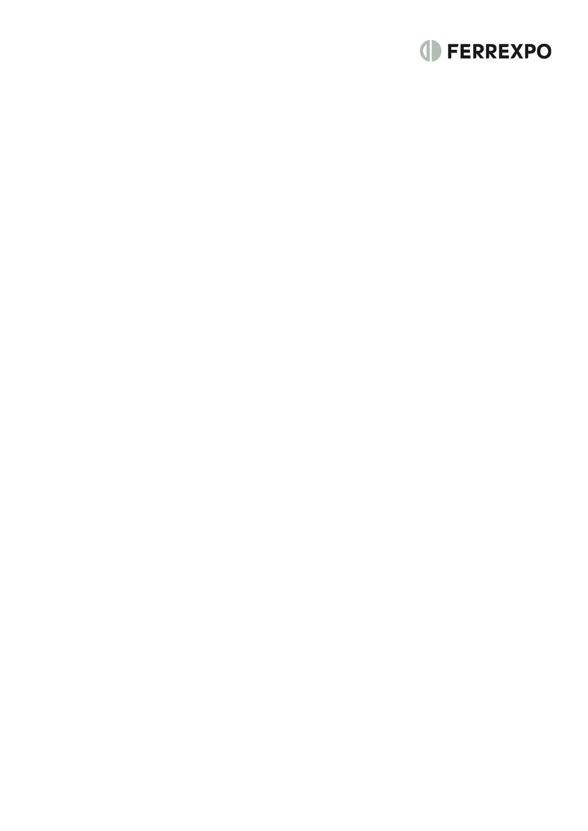# **SERREXPO**